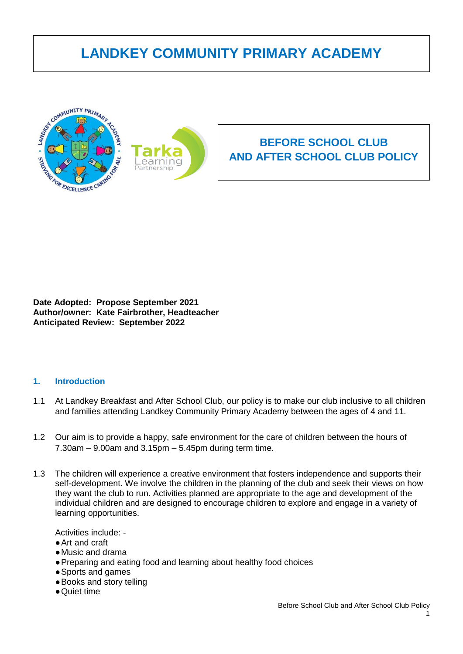# **LANDKEY COMMUNITY PRIMARY ACADEMY**



**Date Adopted: Propose September 2021 Author/owner: Kate Fairbrother, Headteacher Anticipated Review: September 2022**

### **1. Introduction**

- 1.1 At Landkey Breakfast and After School Club, our policy is to make our club inclusive to all children and families attending Landkey Community Primary Academy between the ages of 4 and 11.
- 1.2 Our aim is to provide a happy, safe environment for the care of children between the hours of 7.30am – 9.00am and 3.15pm – 5.45pm during term time.
- 1.3 The children will experience a creative environment that fosters independence and supports their self-development. We involve the children in the planning of the club and seek their views on how they want the club to run. Activities planned are appropriate to the age and development of the individual children and are designed to encourage children to explore and engage in a variety of learning opportunities.

Activities include: -

- Art and craft
- ●Music and drama
- ●Preparing and eating food and learning about healthy food choices
- ●Sports and games
- ●Books and story telling
- ●Quiet time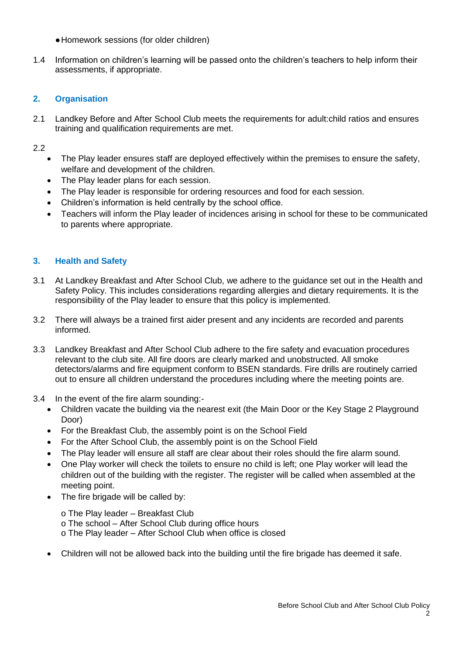- ●Homework sessions (for older children)
- 1.4 Information on children's learning will be passed onto the children's teachers to help inform their assessments, if appropriate.

# **2. Organisation**

2.1 Landkey Before and After School Club meets the requirements for adult:child ratios and ensures training and qualification requirements are met.

2.2

- The Play leader ensures staff are deployed effectively within the premises to ensure the safety, welfare and development of the children.
- The Play leader plans for each session.
- The Play leader is responsible for ordering resources and food for each session.
- Children's information is held centrally by the school office.
- Teachers will inform the Play leader of incidences arising in school for these to be communicated to parents where appropriate.

# **3. Health and Safety**

- 3.1 At Landkey Breakfast and After School Club, we adhere to the guidance set out in the Health and Safety Policy. This includes considerations regarding allergies and dietary requirements. It is the responsibility of the Play leader to ensure that this policy is implemented.
- 3.2 There will always be a trained first aider present and any incidents are recorded and parents informed.
- 3.3 Landkey Breakfast and After School Club adhere to the fire safety and evacuation procedures relevant to the club site. All fire doors are clearly marked and unobstructed. All smoke detectors/alarms and fire equipment conform to BSEN standards. Fire drills are routinely carried out to ensure all children understand the procedures including where the meeting points are.
- 3.4 In the event of the fire alarm sounding:-
	- Children vacate the building via the nearest exit (the Main Door or the Key Stage 2 Playground Door)
	- For the Breakfast Club, the assembly point is on the School Field
	- For the After School Club, the assembly point is on the School Field
	- The Play leader will ensure all staff are clear about their roles should the fire alarm sound.
	- One Play worker will check the toilets to ensure no child is left; one Play worker will lead the children out of the building with the register. The register will be called when assembled at the meeting point.
	- The fire brigade will be called by:
		- o The Play leader Breakfast Club o The school – After School Club during office hours o The Play leader – After School Club when office is closed
	- Children will not be allowed back into the building until the fire brigade has deemed it safe.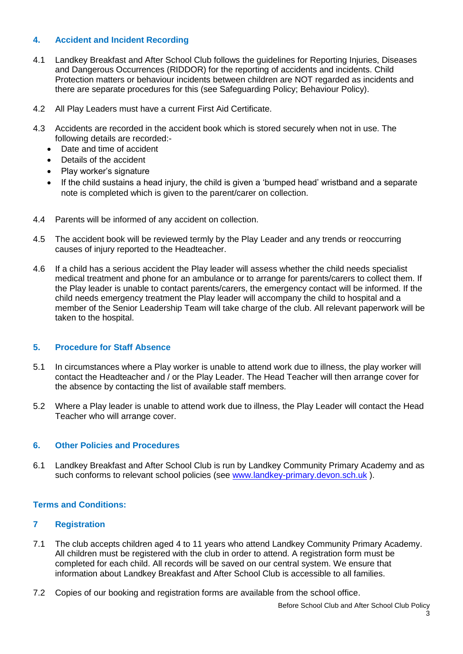# **4. Accident and Incident Recording**

- 4.1 Landkey Breakfast and After School Club follows the guidelines for Reporting Injuries, Diseases and Dangerous Occurrences (RIDDOR) for the reporting of accidents and incidents. Child Protection matters or behaviour incidents between children are NOT regarded as incidents and there are separate procedures for this (see Safeguarding Policy; Behaviour Policy).
- 4.2 All Play Leaders must have a current First Aid Certificate.
- 4.3 Accidents are recorded in the accident book which is stored securely when not in use. The following details are recorded:-
	- Date and time of accident
	- Details of the accident
	- Play worker's signature
	- If the child sustains a head injury, the child is given a 'bumped head' wristband and a separate note is completed which is given to the parent/carer on collection.
- 4.4 Parents will be informed of any accident on collection.
- 4.5 The accident book will be reviewed termly by the Play Leader and any trends or reoccurring causes of injury reported to the Headteacher.
- 4.6 If a child has a serious accident the Play leader will assess whether the child needs specialist medical treatment and phone for an ambulance or to arrange for parents/carers to collect them. If the Play leader is unable to contact parents/carers, the emergency contact will be informed. If the child needs emergency treatment the Play leader will accompany the child to hospital and a member of the Senior Leadership Team will take charge of the club. All relevant paperwork will be taken to the hospital.

### **5. Procedure for Staff Absence**

- 5.1 In circumstances where a Play worker is unable to attend work due to illness, the play worker will contact the Headteacher and / or the Play Leader. The Head Teacher will then arrange cover for the absence by contacting the list of available staff members.
- 5.2 Where a Play leader is unable to attend work due to illness, the Play Leader will contact the Head Teacher who will arrange cover.

# **6. Other Policies and Procedures**

6.1 Landkey Breakfast and After School Club is run by Landkey Community Primary Academy and as such conforms to relevant school policies (see [www.landkey-primary.devon.sch.uk](http://www.landkey-primary.devon.sch.uk/)).

# **Terms and Conditions:**

## **7 Registration**

- 7.1 The club accepts children aged 4 to 11 years who attend Landkey Community Primary Academy. All children must be registered with the club in order to attend. A registration form must be completed for each child. All records will be saved on our central system. We ensure that information about Landkey Breakfast and After School Club is accessible to all families.
- 7.2 Copies of our booking and registration forms are available from the school office.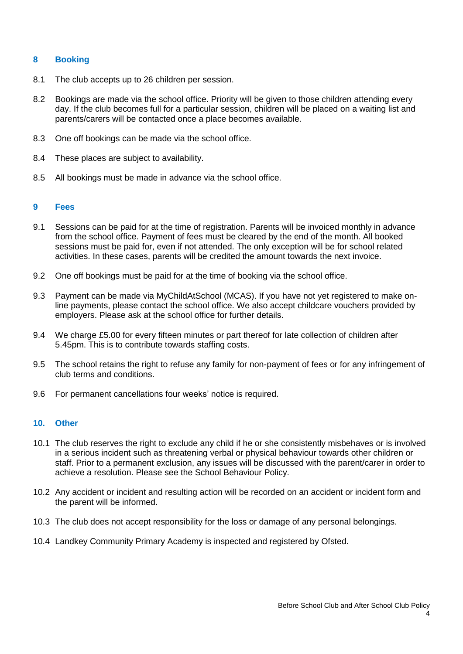### **8 Booking**

- 8.1 The club accepts up to 26 children per session.
- 8.2 Bookings are made via the school office. Priority will be given to those children attending every day. If the club becomes full for a particular session, children will be placed on a waiting list and parents/carers will be contacted once a place becomes available.
- 8.3 One off bookings can be made via the school office.
- 8.4 These places are subject to availability.
- 8.5 All bookings must be made in advance via the school office.

### **9 Fees**

- 9.1 Sessions can be paid for at the time of registration. Parents will be invoiced monthly in advance from the school office. Payment of fees must be cleared by the end of the month. All booked sessions must be paid for, even if not attended. The only exception will be for school related activities. In these cases, parents will be credited the amount towards the next invoice.
- 9.2 One off bookings must be paid for at the time of booking via the school office.
- 9.3 Payment can be made via MyChildAtSchool (MCAS). If you have not yet registered to make online payments, please contact the school office. We also accept childcare vouchers provided by employers. Please ask at the school office for further details.
- 9.4 We charge £5.00 for every fifteen minutes or part thereof for late collection of children after 5.45pm. This is to contribute towards staffing costs.
- 9.5 The school retains the right to refuse any family for non-payment of fees or for any infringement of club terms and conditions.
- 9.6 For permanent cancellations four weeks' notice is required.

## **10. Other**

- 10.1 The club reserves the right to exclude any child if he or she consistently misbehaves or is involved in a serious incident such as threatening verbal or physical behaviour towards other children or staff. Prior to a permanent exclusion, any issues will be discussed with the parent/carer in order to achieve a resolution. Please see the School Behaviour Policy.
- 10.2 Any accident or incident and resulting action will be recorded on an accident or incident form and the parent will be informed.
- 10.3 The club does not accept responsibility for the loss or damage of any personal belongings.
- 10.4 Landkey Community Primary Academy is inspected and registered by Ofsted.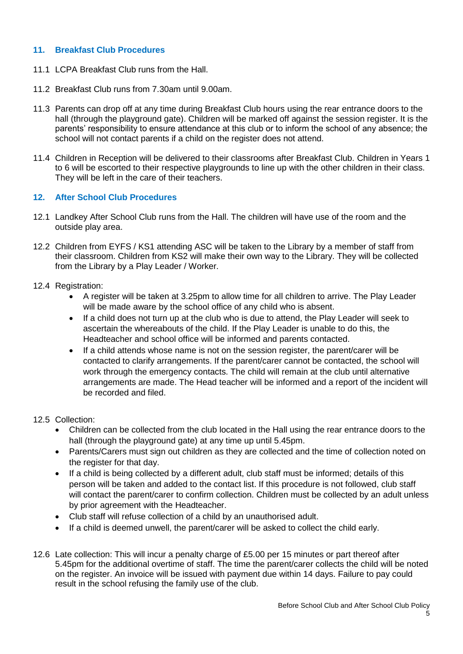## **11. Breakfast Club Procedures**

- 11.1 LCPA Breakfast Club runs from the Hall.
- 11.2 Breakfast Club runs from 7.30am until 9.00am.
- 11.3 Parents can drop off at any time during Breakfast Club hours using the rear entrance doors to the hall (through the playground gate). Children will be marked off against the session register. It is the parents' responsibility to ensure attendance at this club or to inform the school of any absence; the school will not contact parents if a child on the register does not attend.
- 11.4 Children in Reception will be delivered to their classrooms after Breakfast Club. Children in Years 1 to 6 will be escorted to their respective playgrounds to line up with the other children in their class. They will be left in the care of their teachers.

## **12. After School Club Procedures**

- 12.1 Landkey After School Club runs from the Hall. The children will have use of the room and the outside play area.
- 12.2 Children from EYFS / KS1 attending ASC will be taken to the Library by a member of staff from their classroom. Children from KS2 will make their own way to the Library. They will be collected from the Library by a Play Leader / Worker.
- 12.4 Registration:
	- A register will be taken at 3.25pm to allow time for all children to arrive. The Play Leader will be made aware by the school office of any child who is absent.
	- If a child does not turn up at the club who is due to attend, the Play Leader will seek to ascertain the whereabouts of the child. If the Play Leader is unable to do this, the Headteacher and school office will be informed and parents contacted.
	- If a child attends whose name is not on the session register, the parent/carer will be contacted to clarify arrangements. If the parent/carer cannot be contacted, the school will work through the emergency contacts. The child will remain at the club until alternative arrangements are made. The Head teacher will be informed and a report of the incident will be recorded and filed.

### 12.5 Collection:

- Children can be collected from the club located in the Hall using the rear entrance doors to the hall (through the playground gate) at any time up until 5.45pm.
- Parents/Carers must sign out children as they are collected and the time of collection noted on the register for that day.
- If a child is being collected by a different adult, club staff must be informed; details of this person will be taken and added to the contact list. If this procedure is not followed, club staff will contact the parent/carer to confirm collection. Children must be collected by an adult unless by prior agreement with the Headteacher.
- Club staff will refuse collection of a child by an unauthorised adult.
- If a child is deemed unwell, the parent/carer will be asked to collect the child early.
- 12.6 Late collection: This will incur a penalty charge of £5.00 per 15 minutes or part thereof after 5.45pm for the additional overtime of staff. The time the parent/carer collects the child will be noted on the register. An invoice will be issued with payment due within 14 days. Failure to pay could result in the school refusing the family use of the club.